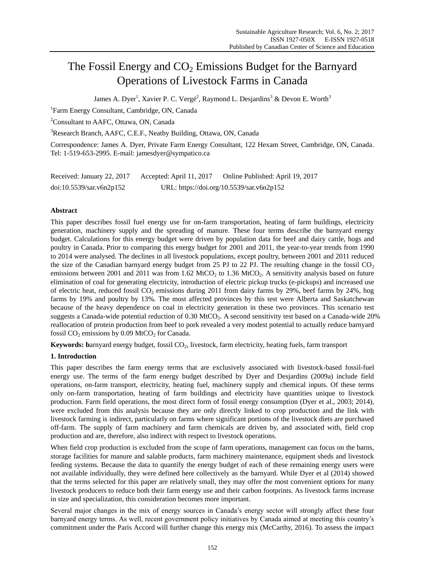# The Fossil Energy and  $CO<sub>2</sub>$  Emissions Budget for the Barnyard Operations of Livestock Farms in Canada

James A. Dyer<sup>1</sup>, Xavier P. C. Verg $\hat{\epsilon}$ , Raymond L. Desjardins $^3$  & Devon E. Worth $^3$ 

<sup>1</sup>Farm Energy Consultant, Cambridge, ON, Canada

<sup>2</sup>Consultant to AAFC, Ottawa, ON, Canada

<sup>3</sup>Research Branch, AAFC, C.E.F., Neatby Building, Ottawa, ON, Canada

Correspondence: James A. Dyer, Private Farm Energy Consultant, 122 Hexam Street, Cambridge, ON, Canada. Tel: 1-519-653-2995. E-mail: jamesdyer@sympatico.ca

| Received: January 22, 2017 | Accepted: April 11, 2017 | Online Published: April 19, 2017          |
|----------------------------|--------------------------|-------------------------------------------|
| doi:10.5539/sar.v6n2p152   |                          | URL: https://doi.org/10.5539/sar.v6n2p152 |

## **Abstract**

This paper describes fossil fuel energy use for on-farm transportation, heating of farm buildings, electricity generation, machinery supply and the spreading of manure. These four terms describe the barnyard energy budget. Calculations for this energy budget were driven by population data for beef and dairy cattle, hogs and poultry in Canada. Prior to comparing this energy budget for 2001 and 2011, the year-to-year trends from 1990 to 2014 were analysed. The declines in all livestock populations, except poultry, between 2001 and 2011 reduced the size of the Canadian barnyard energy budget from 25 PJ to 22 PJ. The resulting change in the fossil  $CO<sub>2</sub>$ emissions between 2001 and 2011 was from 1.62 MtCO<sub>2</sub> to 1.36 MtCO<sub>2</sub>. A sensitivity analysis based on future elimination of coal for generating electricity, introduction of electric pickup trucks (e-pickups) and increased use of electric heat, reduced fossil  $CO<sub>2</sub>$  emissions during 2011 from dairy farms by 29%, beef farms by 24%, hog farms by 19% and poultry by 13%. The most affected provinces by this test were Alberta and Saskatchewan because of the heavy dependence on coal in electricity generation in these two provinces. This scenario test suggests a Canada-wide potential reduction of 0.30 MtCO<sub>2</sub>. A second sensitivity test based on a Canada-wide 20% reallocation of protein production from beef to pork revealed a very modest potential to actually reduce barnyard fossil  $CO<sub>2</sub>$  emissions by 0.09 MtCO<sub>2</sub> for Canada.

**Keywords: b**arnyard energy budget, fossil CO2, livestock, farm electricity, heating fuels, farm transport

## **1. Introduction**

This paper describes the farm energy terms that are exclusively associated with livestock-based fossil-fuel energy use. The terms of the farm energy budget described by Dyer and Desjardins (2009a) include field operations, on-farm transport, electricity, heating fuel, machinery supply and chemical inputs. Of these terms only on-farm transportation, heating of farm buildings and electricity have quantities unique to livestock production. Farm field operations, the most direct form of fossil energy consumption (Dyer et al., 2003; 2014), were excluded from this analysis because they are only directly linked to crop production and the link with livestock farming is indirect, particularly on farms where significant portions of the livestock diets are purchased off-farm. The supply of farm machinery and farm chemicals are driven by, and associated with, field crop production and are, therefore, also indirect with respect to livestock operations.

When field crop production is excluded from the scope of farm operations, management can focus on the barns, storage facilities for manure and salable products, farm machinery maintenance, equipment sheds and livestock feeding systems. Because the data to quantify the energy budget of each of these remaining energy users were not available individually, they were defined here collectively as the barnyard. While Dyer et al (2014) showed that the terms selected for this paper are relatively small, they may offer the most convenient options for many livestock producers to reduce both their farm energy use and their carbon footprints. As livestock farms increase in size and specialization, this consideration becomes more important.

Several major changes in the mix of energy sources in Canada's energy sector will strongly affect these four barnyard energy terms. As well, recent government policy initiatives by Canada aimed at meeting this country's commitment under the Paris Accord will further change this energy mix (McCarthy, 2016). To assess the impact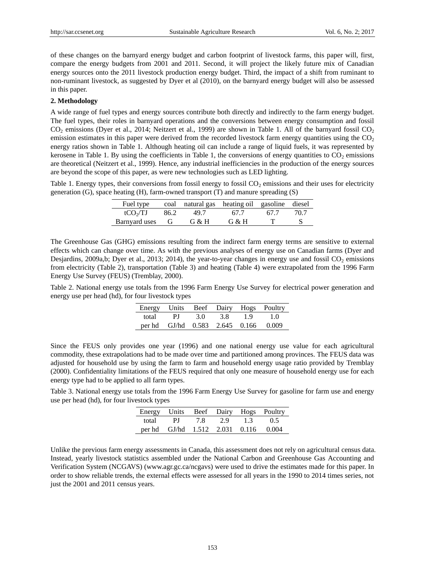of these changes on the barnyard energy budget and carbon footprint of livestock farms, this paper will, first, compare the energy budgets from 2001 and 2011. Second, it will project the likely future mix of Canadian energy sources onto the 2011 livestock production energy budget. Third, the impact of a shift from ruminant to non-ruminant livestock, as suggested by Dyer et al (2010), on the barnyard energy budget will also be assessed in this paper.

## **2. Methodology**

A wide range of fuel types and energy sources contribute both directly and indirectly to the farm energy budget. The fuel types, their roles in barnyard operations and the conversions between energy consumption and fossil  $CO<sub>2</sub>$  emissions (Dyer et al., 2014; Neitzert et al., 1999) are shown in Table 1. All of the barnyard fossil  $CO<sub>2</sub>$ emission estimates in this paper were derived from the recorded livestock farm energy quantities using the  $CO<sub>2</sub>$ energy ratios shown in Table 1. Although heating oil can include a range of liquid fuels, it was represented by kerosene in Table 1. By using the coefficients in Table 1, the conversions of energy quantities to  $CO<sub>2</sub>$  emissions are theoretical (Neitzert et al., 1999). Hence, any industrial inefficiencies in the production of the energy sources are beyond the scope of this paper, as were new technologies such as LED lighting.

Table 1. Energy types, their conversions from fossil energy to fossil  $CO<sub>2</sub>$  emissions and their uses for electricity generation (G), space heating (H), farm-owned transport (T) and manure spreading (S)

| Fuel type             |      | coal natural gas heating oil gasoline diesel |          |      |
|-----------------------|------|----------------------------------------------|----------|------|
| tCO <sub>2</sub> $TJ$ | 86.2 | 49.7                                         | 677      | 70 7 |
| Barnyard uses G       |      | G & H                                        | $G \& H$ |      |

The Greenhouse Gas (GHG) emissions resulting from the indirect farm energy terms are sensitive to external effects which can change over time. As with the previous analyses of energy use on Canadian farms (Dyer and Desjardins, 2009a,b; Dyer et al., 2013; 2014), the year-to-year changes in energy use and fossil  $CO<sub>2</sub>$  emissions from electricity (Table 2), transportation (Table 3) and heating (Table 4) were extrapolated from the 1996 Farm Energy Use Survey (FEUS) (Tremblay, 2000).

Table 2. National energy use totals from the 1996 Farm Energy Use Survey for electrical power generation and energy use per head (hd), for four livestock types

|                                      |                          |  | Energy Units Beef Dairy Hogs Poultry |
|--------------------------------------|--------------------------|--|--------------------------------------|
|                                      | total PJ 3.0 3.8 1.9 1.0 |  |                                      |
| per hd GJ/hd 0.583 2.645 0.166 0.009 |                          |  |                                      |

Since the FEUS only provides one year (1996) and one national energy use value for each agricultural commodity, these extrapolations had to be made over time and partitioned among provinces. The FEUS data was adjusted for household use by using the farm to farm and household energy usage ratio provided by Tremblay (2000). Confidentiality limitations of the FEUS required that only one measure of household energy use for each energy type had to be applied to all farm types.

Table 3. National energy use totals from the 1996 Farm Energy Use Survey for gasoline for farm use and energy use per head (hd), for four livestock types

|       |                                      |     |     |      | Energy Units Beef Dairy Hogs Poultry |
|-------|--------------------------------------|-----|-----|------|--------------------------------------|
| total | $P_{\rm}$                            | 7.8 | 2.9 | -1.3 | 0.5                                  |
|       | per hd GJ/hd 1.512 2.031 0.116 0.004 |     |     |      |                                      |

Unlike the previous farm energy assessments in Canada, this assessment does not rely on agricultural census data. Instead, yearly livestock statistics assembled under the National Carbon and Greenhouse Gas Accounting and Verification System (NCGAVS) (www.agr.gc.ca/ncgavs) were used to drive the estimates made for this paper. In order to show reliable trends, the external effects were assessed for all years in the 1990 to 2014 times series, not just the 2001 and 2011 census years.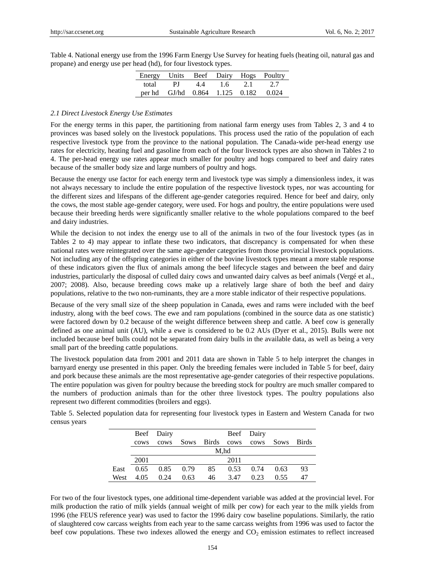| Table 4. National energy use from the 1996 Farm Energy Use Survey for heating fuels (heating oil, natural gas and |  |
|-------------------------------------------------------------------------------------------------------------------|--|
| propane) and energy use per head (hd), for four livestock types.                                                  |  |

| Energy Units Beef Dairy Hogs Poultry |      |                 |  |
|--------------------------------------|------|-----------------|--|
| total                                | - PJ | 4.4 1.6 2.1 2.7 |  |
| per hd GJ/hd 0.864 1.125 0.182 0.024 |      |                 |  |

## *2.1 Direct Livestock Energy Use Estimates*

For the energy terms in this paper, the partitioning from national farm energy uses from Tables 2, 3 and 4 to provinces was based solely on the livestock populations. This process used the ratio of the population of each respective livestock type from the province to the national population. The Canada-wide per-head energy use rates for electricity, heating fuel and gasoline from each of the four livestock types are also shown in Tables 2 to 4. The per-head energy use rates appear much smaller for poultry and hogs compared to beef and dairy rates because of the smaller body size and large numbers of poultry and hogs.

Because the energy use factor for each energy term and livestock type was simply a dimensionless index, it was not always necessary to include the entire population of the respective livestock types, nor was accounting for the different sizes and lifespans of the different age-gender categories required. Hence for beef and dairy, only the cows, the most stable age-gender category, were used. For hogs and poultry, the entire populations were used because their breeding herds were significantly smaller relative to the whole populations compared to the beef and dairy industries.

While the decision to not index the energy use to all of the animals in two of the four livestock types (as in Tables 2 to 4) may appear to inflate these two indicators, that discrepancy is compensated for when these national rates were reintegrated over the same age-gender categories from those provincial livestock populations. Not including any of the offspring categories in either of the bovine livestock types meant a more stable response of these indicators given the flux of animals among the beef lifecycle stages and between the beef and dairy industries, particularly the disposal of culled dairy cows and unwanted dairy calves as beef animals (Vergéet al., 2007; 2008). Also, because breeding cows make up a relatively large share of both the beef and dairy populations, relative to the two non-ruminants, they are a more stable indicator of their respective populations.

Because of the very small size of the sheep population in Canada, ewes and rams were included with the beef industry, along with the beef cows. The ewe and ram populations (combined in the source data as one statistic) were factored down by 0.2 because of the weight difference between sheep and cattle. A beef cow is generally defined as one animal unit (AU), while a ewe is considered to be 0.2 AUs (Dyer et al., 2015). Bulls were not included because beef bulls could not be separated from dairy bulls in the available data, as well as being a very small part of the breeding cattle populations.

The livestock population data from 2001 and 2011 data are shown in Table 5 to help interpret the changes in barnyard energy use presented in this paper. Only the breeding females were included in Table 5 for beef, dairy and pork because these animals are the most representative age-gender categories of their respective populations. The entire population was given for poultry because the breeding stock for poultry are much smaller compared to the numbers of production animals than for the other three livestock types. The poultry populations also represent two different commodities (broilers and eggs).

Table 5. Selected population data for representing four livestock types in Eastern and Western Canada for two census years

|      |      | Beef Dairy |      |                 |      | Beef Dairy |             |       |  |  |  |  |
|------|------|------------|------|-----------------|------|------------|-------------|-------|--|--|--|--|
|      | cows | cows       | Sows | Birds cows cows |      |            | <b>Sows</b> | Birds |  |  |  |  |
|      |      |            | M.hd |                 |      |            |             |       |  |  |  |  |
|      | 2001 |            |      |                 | 2011 |            |             |       |  |  |  |  |
| East | 0.65 | 0.85       | 0.79 | 85              | 0.53 | 0.74       | 0.63        | 93    |  |  |  |  |
| West | 4.05 | 0.24       | 0.63 | 46              | 3.47 | 0.23       | 0.55        | 47    |  |  |  |  |

For two of the four livestock types, one additional time-dependent variable was added at the provincial level. For milk production the ratio of milk yields (annual weight of milk per cow) for each year to the milk yields from 1996 (the FEUS reference year) was used to factor the 1996 dairy cow baseline populations. Similarly, the ratio of slaughtered cow carcass weights from each year to the same carcass weights from 1996 was used to factor the beef cow populations. These two indexes allowed the energy and  $CO<sub>2</sub>$  emission estimates to reflect increased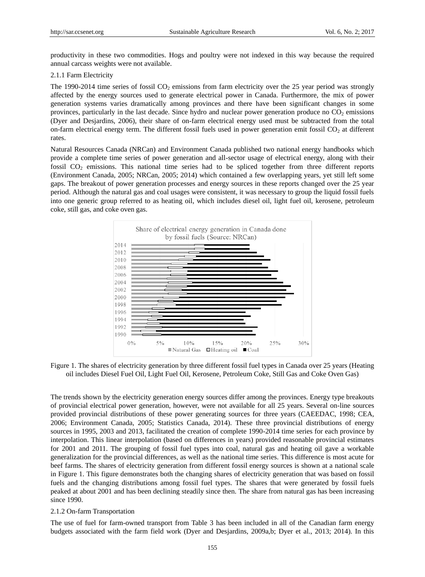productivity in these two commodities. Hogs and poultry were not indexed in this way because the required annual carcass weights were not available.

#### 2.1.1 Farm Electricity

The 1990-2014 time series of fossil  $CO<sub>2</sub>$  emissions from farm electricity over the 25 year period was strongly affected by the energy sources used to generate electrical power in Canada. Furthermore, the mix of power generation systems varies dramatically among provinces and there have been significant changes in some provinces, particularly in the last decade. Since hydro and nuclear power generation produce no  $CO<sub>2</sub>$  emissions (Dyer and Desjardins, 2006), their share of on-farm electrical energy used must be subtracted from the total on-farm electrical energy term. The different fossil fuels used in power generation emit fossil  $CO<sub>2</sub>$  at different rates.

Natural Resources Canada (NRCan) and Environment Canada published two national energy handbooks which provide a complete time series of power generation and all-sector usage of electrical energy, along with their fossil  $CO<sub>2</sub>$  emissions. This national time series had to be spliced together from three different reports (Environment Canada, 2005; NRCan, 2005; 2014) which contained a few overlapping years, yet still left some gaps. The breakout of power generation processes and energy sources in these reports changed over the 25 year period. Although the natural gas and coal usages were consistent, it was necessary to group the liquid fossil fuels into one generic group referred to as heating oil, which includes diesel oil, light fuel oil, kerosene, petroleum coke, still gas, and coke oven gas.



Figure 1. The shares of electricity generation by three different fossil fuel types in Canada over 25 years (Heating oil includes Diesel Fuel Oil, Light Fuel Oil, Kerosene, Petroleum Coke, Still Gas and Coke Oven Gas)

The trends shown by the electricity generation energy sources differ among the provinces. Energy type breakouts of provincial electrical power generation, however, were not available for all 25 years. Several on-line sources provided provincial distributions of these power generating sources for three years (CAEEDAC, 1998; CEA, 2006; Environment Canada, 2005; Statistics Canada, 2014). These three provincial distributions of energy sources in 1995, 2003 and 2013, facilitated the creation of complete 1990-2014 time series for each province by interpolation. This linear interpolation (based on differences in years) provided reasonable provincial estimates for 2001 and 2011. The grouping of fossil fuel types into coal, natural gas and heating oil gave a workable generalization for the provincial differences, as well as the national time series. This difference is most acute for beef farms. The shares of electricity generation from different fossil energy sources is shown at a national scale in Figure 1. This figure demonstrates both the changing shares of electricity generation that was based on fossil fuels and the changing distributions among fossil fuel types. The shares that were generated by fossil fuels peaked at about 2001 and has been declining steadily since then. The share from natural gas has been increasing since 1990.

### 2.1.2 On-farm Transportation

The use of fuel for farm-owned transport from Table 3 has been included in all of the Canadian farm energy budgets associated with the farm field work (Dyer and Desjardins, 2009a,b; Dyer et al., 2013; 2014). In this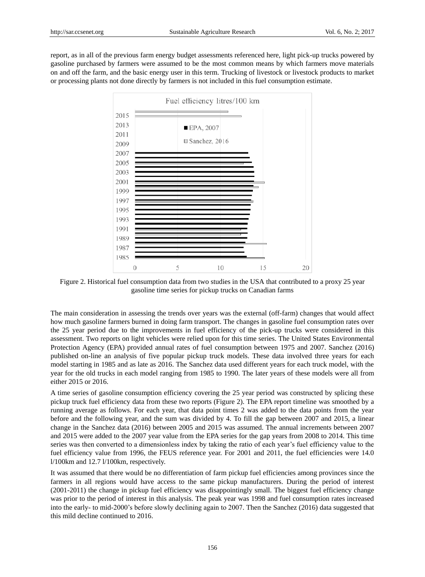report, as in all of the previous farm energy budget assessments referenced here, light pick-up trucks powered by gasoline purchased by farmers were assumed to be the most common means by which farmers move materials on and off the farm, and the basic energy user in this term. Trucking of livestock or livestock products to market or processing plants not done directly by farmers is not included in this fuel consumption estimate.



Figure 2. Historical fuel consumption data from two studies in the USA that contributed to a proxy 25 year gasoline time series for pickup trucks on Canadian farms

The main consideration in assessing the trends over years was the external (off-farm) changes that would affect how much gasoline farmers burned in doing farm transport. The changes in gasoline fuel consumption rates over the 25 year period due to the improvements in fuel efficiency of the pick-up trucks were considered in this assessment. Two reports on light vehicles were relied upon for this time series. The United States Environmental Protection Agency (EPA) provided annual rates of fuel consumption between 1975 and 2007. Sanchez (2016) published on-line an analysis of five popular pickup truck models. These data involved three years for each model starting in 1985 and as late as 2016. The Sanchez data used different years for each truck model, with the year for the old trucks in each model ranging from 1985 to 1990. The later years of these models were all from either 2015 or 2016.

A time series of gasoline consumption efficiency covering the 25 year period was constructed by splicing these pickup truck fuel efficiency data from these two reports (Figure 2). The EPA report timeline was smoothed by a running average as follows. For each year, that data point times 2 was added to the data points from the year before and the following year, and the sum was divided by 4. To fill the gap between 2007 and 2015, a linear change in the Sanchez data (2016) between 2005 and 2015 was assumed. The annual increments between 2007 and 2015 were added to the 2007 year value from the EPA series for the gap years from 2008 to 2014. This time series was then converted to a dimensionless index by taking the ratio of each year's fuel efficiency value to the fuel efficiency value from 1996, the FEUS reference year. For 2001 and 2011, the fuel efficiencies were 14.0 l/100km and 12.7 l/100km, respectively.

It was assumed that there would be no differentiation of farm pickup fuel efficiencies among provinces since the farmers in all regions would have access to the same pickup manufacturers. During the period of interest (2001-2011) the change in pickup fuel efficiency was disappointingly small. The biggest fuel efficiency change was prior to the period of interest in this analysis. The peak year was 1998 and fuel consumption rates increased into the early- to mid-2000's before slowly declining again to 2007. Then the Sanchez (2016) data suggested that this mild decline continued to 2016.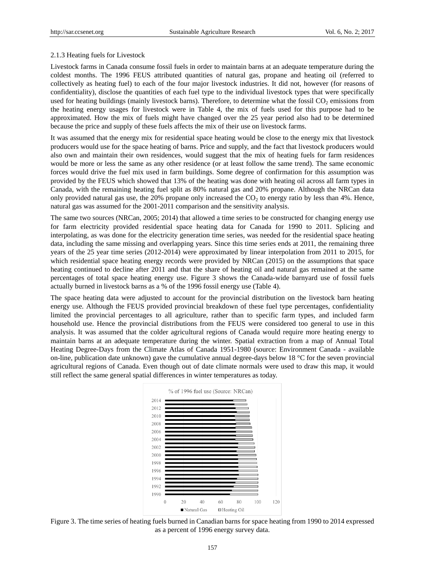#### 2.1.3 Heating fuels for Livestock

Livestock farms in Canada consume fossil fuels in order to maintain barns at an adequate temperature during the coldest months. The 1996 FEUS attributed quantities of natural gas, propane and heating oil (referred to collectively as heating fuel) to each of the four major livestock industries. It did not, however (for reasons of confidentiality), disclose the quantities of each fuel type to the individual livestock types that were specifically used for heating buildings (mainly livestock barns). Therefore, to determine what the fossil  $CO<sub>2</sub>$  emissions from the heating energy usages for livestock were in Table 4, the mix of fuels used for this purpose had to be approximated. How the mix of fuels might have changed over the 25 year period also had to be determined because the price and supply of these fuels affects the mix of their use on livestock farms.

It was assumed that the energy mix for residential space heating would be close to the energy mix that livestock producers would use for the space heating of barns. Price and supply, and the fact that livestock producers would also own and maintain their own residences, would suggest that the mix of heating fuels for farm residences would be more or less the same as any other residence (or at least follow the same trend). The same economic forces would drive the fuel mix used in farm buildings. Some degree of confirmation for this assumption was provided by the FEUS which showed that 13% of the heating was done with heating oil across all farm types in Canada, with the remaining heating fuel split as 80% natural gas and 20% propane. Although the NRCan data only provided natural gas use, the 20% propane only increased the  $CO<sub>2</sub>$  to energy ratio by less than 4%. Hence, natural gas was assumed for the 2001-2011 comparison and the sensitivity analysis.

The same two sources (NRCan, 2005; 2014) that allowed a time series to be constructed for changing energy use for farm electricity provided residential space heating data for Canada for 1990 to 2011. Splicing and interpolating, as was done for the electricity generation time series, was needed for the residential space heating data, including the same missing and overlapping years. Since this time series ends at 2011, the remaining three years of the 25 year time series (2012-2014) were approximated by linear interpolation from 2011 to 2015, for which residential space heating energy records were provided by NRCan (2015) on the assumptions that space heating continued to decline after 2011 and that the share of heating oil and natural gas remained at the same percentages of total space heating energy use. Figure 3 shows the Canada-wide barnyard use of fossil fuels actually burned in livestock barns as a % of the 1996 fossil energy use (Table 4).

The space heating data were adjusted to account for the provincial distribution on the livestock barn heating energy use. Although the FEUS provided provincial breakdown of these fuel type percentages, confidentiality limited the provincial percentages to all agriculture, rather than to specific farm types, and included farm household use. Hence the provincial distributions from the FEUS were considered too general to use in this analysis. It was assumed that the colder agricultural regions of Canada would require more heating energy to maintain barns at an adequate temperature during the winter. Spatial extraction from a map of Annual Total Heating Degree-Days from the Climate Atlas of Canada 1951-1980 (source: Environment Canada - available on-line, publication date unknown) gave the cumulative annual degree-days below 18  $\degree$  for the seven provincial agricultural regions of Canada. Even though out of date climate normals were used to draw this map, it would still reflect the same general spatial differences in winter temperatures as today.



Figure 3. The time series of heating fuels burned in Canadian barns for space heating from 1990 to 2014 expressed as a percent of 1996 energy survey data.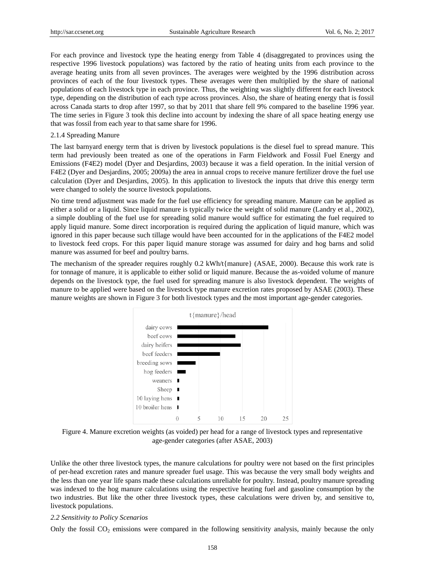For each province and livestock type the heating energy from Table 4 (disaggregated to provinces using the respective 1996 livestock populations) was factored by the ratio of heating units from each province to the average heating units from all seven provinces. The averages were weighted by the 1996 distribution across provinces of each of the four livestock types. These averages were then multiplied by the share of national populations of each livestock type in each province. Thus, the weighting was slightly different for each livestock type, depending on the distribution of each type across provinces. Also, the share of heating energy that is fossil across Canada starts to drop after 1997, so that by 2011 that share fell 9% compared to the baseline 1996 year. The time series in Figure 3 took this decline into account by indexing the share of all space heating energy use that was fossil from each year to that same share for 1996.

#### 2.1.4 Spreading Manure

The last barnyard energy term that is driven by livestock populations is the diesel fuel to spread manure. This term had previously been treated as one of the operations in Farm Fieldwork and Fossil Fuel Energy and Emissions (F4E2) model (Dyer and Desjardins, 2003) because it was a field operation. In the initial version of F4E2 (Dyer and Desjardins, 2005; 2009a) the area in annual crops to receive manure fertilizer drove the fuel use calculation (Dyer and Desjardins, 2005). In this application to livestock the inputs that drive this energy term were changed to solely the source livestock populations.

No time trend adjustment was made for the fuel use efficiency for spreading manure. Manure can be applied as either a solid or a liquid. Since liquid manure is typically twice the weight of solid manure (Landry et al., 2002), a simple doubling of the fuel use for spreading solid manure would suffice for estimating the fuel required to apply liquid manure. Some direct incorporation is required during the application of liquid manure, which was ignored in this paper because such tillage would have been accounted for in the applications of the F4E2 model to livestock feed crops. For this paper liquid manure storage was assumed for dairy and hog barns and solid manure was assumed for beef and poultry barns.

The mechanism of the spreader requires roughly 0.2 kWh/t{manure} (ASAE, 2000). Because this work rate is for tonnage of manure, it is applicable to either solid or liquid manure. Because the as-voided volume of manure depends on the livestock type, the fuel used for spreading manure is also livestock dependent. The weights of manure to be applied were based on the livestock type manure excretion rates proposed by ASAE (2003). These manure weights are shown in Figure 3 for both livestock types and the most important age-gender categories.



Figure 4. Manure excretion weights (as voided) per head for a range of livestock types and representative age-gender categories (after ASAE, 2003)

Unlike the other three livestock types, the manure calculations for poultry were not based on the first principles of per-head excretion rates and manure spreader fuel usage. This was because the very small body weights and the less than one year life spans made these calculations unreliable for poultry. Instead, poultry manure spreading was indexed to the hog manure calculations using the respective heating fuel and gasoline consumption by the two industries. But like the other three livestock types, these calculations were driven by, and sensitive to, livestock populations.

### *2.2 Sensitivity to Policy Scenarios*

Only the fossil  $CO<sub>2</sub>$  emissions were compared in the following sensitivity analysis, mainly because the only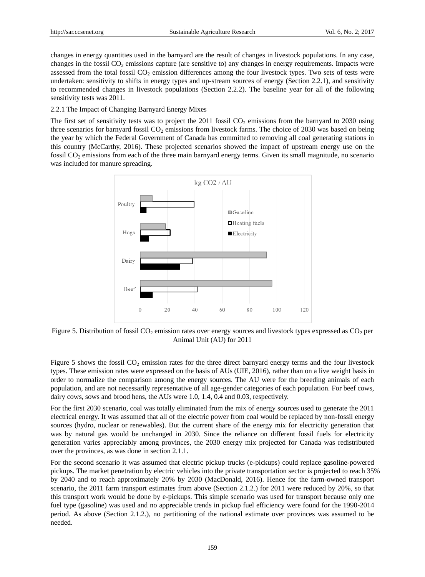changes in energy quantities used in the barnyard are the result of changes in livestock populations. In any case, changes in the fossil CO<sub>2</sub> emissions capture (are sensitive to) any changes in energy requirements. Impacts were assessed from the total fossil  $CO<sub>2</sub>$  emission differences among the four livestock types. Two sets of tests were undertaken: sensitivity to shifts in energy types and up-stream sources of energy (Section 2.2.1), and sensitivity to recommended changes in livestock populations (Section 2.2.2). The baseline year for all of the following sensitivity tests was 2011.

## 2.2.1 The Impact of Changing Barnyard Energy Mixes

The first set of sensitivity tests was to project the 2011 fossil  $CO<sub>2</sub>$  emissions from the barnyard to 2030 using three scenarios for barnyard fossil  $CO<sub>2</sub>$  emissions from livestock farms. The choice of 2030 was based on being the year by which the Federal Government of Canada has committed to removing all coal generating stations in this country (McCarthy, 2016). These projected scenarios showed the impact of upstream energy use on the fossil  $CO<sub>2</sub>$  emissions from each of the three main barnyard energy terms. Given its small magnitude, no scenario was included for manure spreading.



Figure 5. Distribution of fossil  $CO_2$  emission rates over energy sources and livestock types expressed as  $CO_2$  per Animal Unit (AU) for 2011

Figure 5 shows the fossil  $CO<sub>2</sub>$  emission rates for the three direct barnyard energy terms and the four livestock types. These emission rates were expressed on the basis of AUs (UIE, 2016), rather than on a live weight basis in order to normalize the comparison among the energy sources. The AU were for the breeding animals of each population, and are not necessarily representative of all age-gender categories of each population. For beef cows, dairy cows, sows and brood hens, the AUs were 1.0, 1.4, 0.4 and 0.03, respectively.

For the first 2030 scenario, coal was totally eliminated from the mix of energy sources used to generate the 2011 electrical energy. It was assumed that all of the electric power from coal would be replaced by non-fossil energy sources (hydro, nuclear or renewables). But the current share of the energy mix for electricity generation that was by natural gas would be unchanged in 2030. Since the reliance on different fossil fuels for electricity generation varies appreciably among provinces, the 2030 energy mix projected for Canada was redistributed over the provinces, as was done in section 2.1.1.

For the second scenario it was assumed that electric pickup trucks (e-pickups) could replace gasoline-powered pickups. The market penetration by electric vehicles into the private transportation sector is projected to reach 35% by 2040 and to reach approximately 20% by 2030 (MacDonald, 2016). Hence for the farm-owned transport scenario, the 2011 farm transport estimates from above (Section 2.1.2.) for 2011 were reduced by 20%, so that this transport work would be done by e-pickups. This simple scenario was used for transport because only one fuel type (gasoline) was used and no appreciable trends in pickup fuel efficiency were found for the 1990-2014 period. As above (Section 2.1.2.), no partitioning of the national estimate over provinces was assumed to be needed.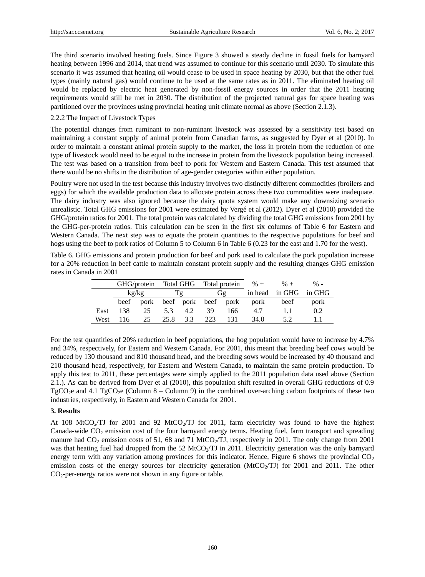The third scenario involved heating fuels. Since Figure 3 showed a steady decline in fossil fuels for barnyard heating between 1996 and 2014, that trend was assumed to continue for this scenario until 2030. To simulate this scenario it was assumed that heating oil would cease to be used in space heating by 2030, but that the other fuel types (mainly natural gas) would continue to be used at the same rates as in 2011. The eliminated heating oil would be replaced by electric heat generated by non-fossil energy sources in order that the 2011 heating requirements would still be met in 2030. The distribution of the projected natural gas for space heating was partitioned over the provinces using provincial heating unit climate normal as above (Section 2.1.3).

## 2.2.2 The Impact of Livestock Types

The potential changes from ruminant to non-ruminant livestock was assessed by a sensitivity test based on maintaining a constant supply of animal protein from Canadian farms, as suggested by Dyer et al (2010). In order to maintain a constant animal protein supply to the market, the loss in protein from the reduction of one type of livestock would need to be equal to the increase in protein from the livestock population being increased. The test was based on a transition from beef to pork for Western and Eastern Canada. This test assumed that there would be no shifts in the distribution of age-gender categories within either population.

Poultry were not used in the test because this industry involves two distinctly different commodities (broilers and eggs) for which the available production data to allocate protein across these two commodities were inadequate. The dairy industry was also ignored because the dairy quota system would make any downsizing scenario unrealistic. Total GHG emissions for 2001 were estimated by Vergé et al (2012). Dyer et al (2010) provided the GHG/protein ratios for 2001. The total protein was calculated by dividing the total GHG emissions from 2001 by the GHG-per-protein ratios. This calculation can be seen in the first six columns of Table 6 for Eastern and Western Canada. The next step was to equate the protein quantities to the respective populations for beef and hogs using the beef to pork ratios of Column 5 to Column 6 in Table 6 (0.23 for the east and 1.70 for the west).

Table 6. GHG emissions and protein production for beef and pork used to calculate the pork population increase for a 20% reduction in beef cattle to maintain constant protein supply and the resulting changes GHG emission rates in Canada in 2001

|      | GHG/protein |                               |      | Total GHG Total protein |                | $% +$ | $% +$ | $% =$          |        |
|------|-------------|-------------------------------|------|-------------------------|----------------|-------|-------|----------------|--------|
|      |             | $k\mathfrak{g}/k\mathfrak{g}$ |      |                         | Gg             |       |       | in head in GHG | in GHG |
|      | beef        | pork                          |      |                         | beef pork beef | pork  | pork  | beef           | pork   |
| East | 138         | 25                            | 5.3  | 4.2                     | 39             | 166   | 4.7   |                | 0.2    |
| West | 116.        | 25                            | 25.8 | 3.3                     | 223            | 131   | 34.0  | 59             |        |

For the test quantities of 20% reduction in beef populations, the hog population would have to increase by 4.7% and 34%, respectively, for Eastern and Western Canada. For 2001, this meant that breeding beef cows would be reduced by 130 thousand and 810 thousand head, and the breeding sows would be increased by 40 thousand and 210 thousand head, respectively, for Eastern and Western Canada, to maintain the same protein production. To apply this test to 2011, these percentages were simply applied to the 2011 population data used above (Section 2.1.). As can be derived from Dyer et al (2010), this population shift resulted in overall GHG reductions of 0.9 TgCO<sub>2</sub>e and 4.1 TgCO<sub>2</sub>e (Column 8 – Column 9) in the combined over-arching carbon footprints of these two industries, respectively, in Eastern and Western Canada for 2001.

## **3. Results**

At 108 MtCO $\gamma$ TJ for 2001 and 92 MtCO $\gamma$ TJ for 2011, farm electricity was found to have the highest Canada-wide  $CO<sub>2</sub>$  emission cost of the four barnyard energy terms. Heating fuel, farm transport and spreading manure had  $CO_2$  emission costs of 51, 68 and 71 MtCO<sub>2</sub>/TJ, respectively in 2011. The only change from 2001 was that heating fuel had dropped from the 52 MtCO<sub>2</sub>/TJ in 2011. Electricity generation was the only barnyard energy term with any variation among provinces for this indicator. Hence, Figure 6 shows the provincial  $CO<sub>2</sub>$ emission costs of the energy sources for electricity generation ( $MtCO<sub>2</sub>/TJ$ ) for 2001 and 2011. The other CO2-per-energy ratios were not shown in any figure or table.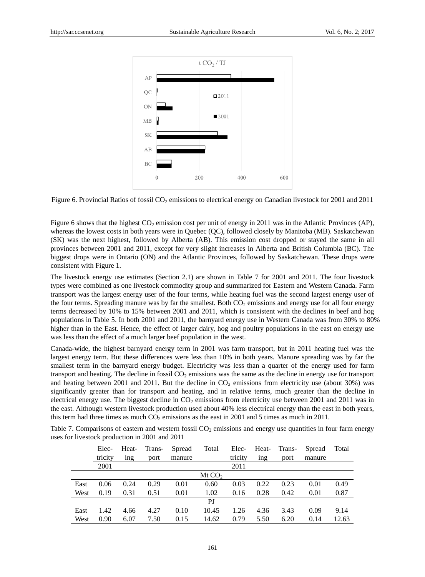

Figure 6. Provincial Ratios of fossil CO<sub>2</sub> emissions to electrical energy on Canadian livestock for 2001 and 2011

Figure 6 shows that the highest  $CO<sub>2</sub>$  emission cost per unit of energy in 2011 was in the Atlantic Provinces (AP), whereas the lowest costs in both years were in Quebec (QC), followed closely by Manitoba (MB). Saskatchewan (SK) was the next highest, followed by Alberta (AB). This emission cost dropped or stayed the same in all provinces between 2001 and 2011, except for very slight increases in Alberta and British Columbia (BC). The biggest drops were in Ontario (ON) and the Atlantic Provinces, followed by Saskatchewan. These drops were consistent with Figure 1.

The livestock energy use estimates (Section 2.1) are shown in Table 7 for 2001 and 2011. The four livestock types were combined as one livestock commodity group and summarized for Eastern and Western Canada. Farm transport was the largest energy user of the four terms, while heating fuel was the second largest energy user of the four terms. Spreading manure was by far the smallest. Both  $CO<sub>2</sub>$  emissions and energy use for all four energy terms decreased by 10% to 15% between 2001 and 2011, which is consistent with the declines in beef and hog populations in Table 5. In both 2001 and 2011, the barnyard energy use in Western Canada was from 30% to 80% higher than in the East. Hence, the effect of larger dairy, hog and poultry populations in the east on energy use was less than the effect of a much larger beef population in the west.

Canada-wide, the highest barnyard energy term in 2001 was farm transport, but in 2011 heating fuel was the largest energy term. But these differences were less than 10% in both years. Manure spreading was by far the smallest term in the barnyard energy budget. Electricity was less than a quarter of the energy used for farm transport and heating. The decline in fossil  $CO<sub>2</sub>$  emissions was the same as the decline in energy use for transport and heating between 2001 and 2011. But the decline in  $CO<sub>2</sub>$  emissions from electricity use (about 30%) was significantly greater than for transport and heating, and in relative terms, much greater than the decline in electrical energy use. The biggest decline in  $CO<sub>2</sub>$  emissions from electricity use between 2001 and 2011 was in the east. Although western livestock production used about 40% less electrical energy than the east in both years, this term had three times as much  $CO<sub>2</sub>$  emissions as the east in 2001 and 5 times as much in 2011.

| Table 7. Comparisons of eastern and western fossil $CO2$ emissions and energy use quantities in four farm energy |  |  |  |  |  |
|------------------------------------------------------------------------------------------------------------------|--|--|--|--|--|
| uses for livestock production in 2001 and 2011                                                                   |  |  |  |  |  |

|      | Elec-   | Heat- | Trans- | Spread | Total              | Elec-   | Heat- | Trans- | Spread | Total |
|------|---------|-------|--------|--------|--------------------|---------|-------|--------|--------|-------|
|      | tricity | ing   | port   | manure |                    | tricity | ing   | port   | manure |       |
|      | 2001    |       |        |        |                    | 2011    |       |        |        |       |
|      |         |       |        |        | Mt CO <sub>2</sub> |         |       |        |        |       |
| East | 0.06    | 0.24  | 0.29   | 0.01   | 0.60               | 0.03    | 0.22  | 0.23   | 0.01   | 0.49  |
| West | 0.19    | 0.31  | 0.51   | 0.01   | 1.02               | 0.16    | 0.28  | 0.42   | 0.01   | 0.87  |
|      |         |       |        |        | PI                 |         |       |        |        |       |
| East | 1.42    | 4.66  | 4.27   | 0.10   | 10.45              | 1.26    | 4.36  | 3.43   | 0.09   | 9.14  |
| West | 0.90    | 6.07  | 7.50   | 0.15   | 14.62              | 0.79    | 5.50  | 6.20   | 0.14   | 12.63 |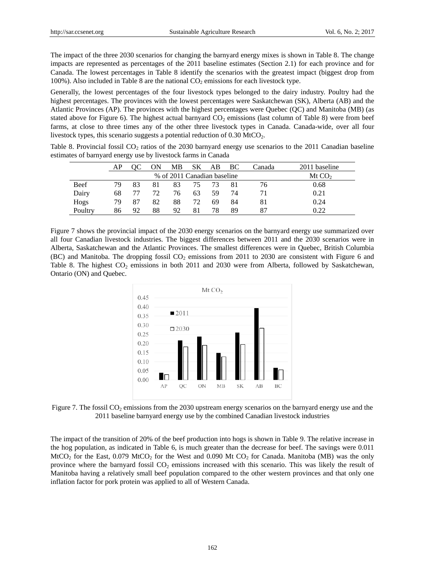The impact of the three 2030 scenarios for changing the barnyard energy mixes is shown in Table 8. The change impacts are represented as percentages of the 2011 baseline estimates (Section 2.1) for each province and for Canada. The lowest percentages in Table 8 identify the scenarios with the greatest impact (biggest drop from 100%). Also included in Table 8 are the national  $CO<sub>2</sub>$  emissions for each livestock type.

Generally, the lowest percentages of the four livestock types belonged to the dairy industry. Poultry had the highest percentages. The provinces with the lowest percentages were Saskatchewan (SK), Alberta (AB) and the Atlantic Provinces (AP). The provinces with the highest percentages were Quebec (QC) and Manitoba (MB) (as stated above for Figure 6). The highest actual barnyard  $CO<sub>2</sub>$  emissions (last column of Table 8) were from beef farms, at close to three times any of the other three livestock types in Canada. Canada-wide, over all four livestock types, this scenario suggests a potential reduction of  $0.30 \text{ MtCO}_2$ .

Table 8. Provincial fossil  $CO<sub>2</sub>$  ratios of the 2030 barnyard energy use scenarios to the 2011 Canadian baseline estimates of barnyard energy use by livestock farms in Canada

|         | AP                                                |    | ON | MB. |    | SK AB BC |    | Canada | 2011 baseline |  |  |  |  |
|---------|---------------------------------------------------|----|----|-----|----|----------|----|--------|---------------|--|--|--|--|
|         | % of 2011 Canadian baseline<br>Mt CO <sub>2</sub> |    |    |     |    |          |    |        |               |  |  |  |  |
| Beef    | 79                                                | 83 | 81 | 83  | 75 | 73       | 81 | 76     | 0.68          |  |  |  |  |
| Dairy   | 68                                                |    | 72 | 76  | 63 | 59       | 74 |        | 0.21          |  |  |  |  |
| Hogs    | 79                                                | 87 | 82 | 88  | 72 | 69       | 84 | 81     | 0.24          |  |  |  |  |
| Poultry | 86                                                | 92 | 88 | 92  | 81 | 78       | 89 | 87     | 0.22          |  |  |  |  |

Figure 7 shows the provincial impact of the 2030 energy scenarios on the barnyard energy use summarized over all four Canadian livestock industries. The biggest differences between 2011 and the 2030 scenarios were in Alberta, Saskatchewan and the Atlantic Provinces. The smallest differences were in Quebec, British Columbia (BC) and Manitoba. The dropping fossil  $CO<sub>2</sub>$  emissions from 2011 to 2030 are consistent with Figure 6 and Table 8. The highest  $CO_2$  emissions in both 2011 and 2030 were from Alberta, followed by Saskatchewan, Ontario (ON) and Quebec.



Figure 7. The fossil  $CO_2$  emissions from the 2030 upstream energy scenarios on the barnyard energy use and the 2011 baseline barnyard energy use by the combined Canadian livestock industries

The impact of the transition of 20% of the beef production into hogs is shown in Table 9. The relative increase in the hog population, as indicated in Table 6, is much greater than the decrease for beef. The savings were 0.011  $MtCO<sub>2</sub>$  for the East, 0.079 MtCO<sub>2</sub> for the West and 0.090 MtCO<sub>2</sub> for Canada. Manitoba (MB) was the only province where the barnyard fossil  $CO<sub>2</sub>$  emissions increased with this scenario. This was likely the result of Manitoba having a relatively small beef population compared to the other western provinces and that only one inflation factor for pork protein was applied to all of Western Canada.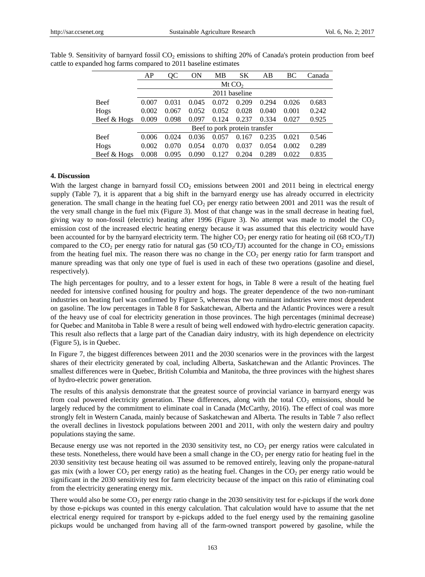|             | AP            | ОC    | ON    | MВ                            | SК    | AB    | ВC    | Canada |  |  |  |  |
|-------------|---------------|-------|-------|-------------------------------|-------|-------|-------|--------|--|--|--|--|
|             |               |       |       | Mt CO <sub>2</sub>            |       |       |       |        |  |  |  |  |
|             | 2011 baseline |       |       |                               |       |       |       |        |  |  |  |  |
| <b>Beef</b> | 0.007         | 0.031 | 0.045 | 0.072                         | 0.209 | 0.294 | 0.026 | 0.683  |  |  |  |  |
| Hogs        | 0.002         | 0.067 | 0.052 | 0.052                         | 0.028 | 0.040 | 0.001 | 0.242  |  |  |  |  |
| Beef & Hogs | 0.009         | 0.098 | 0.097 | 0.124                         | 0.237 | 0.334 | 0.027 | 0.925  |  |  |  |  |
|             |               |       |       | Beef to pork protein transfer |       |       |       |        |  |  |  |  |
| <b>Beef</b> | 0.006         | 0.024 | 0.036 | 0.057                         | 0.167 | 0.235 | 0.021 | 0.546  |  |  |  |  |
| Hogs        | 0.002         | 0.070 | 0.054 | 0.070                         | 0.037 | 0.054 | 0.002 | 0.289  |  |  |  |  |
| Beef & Hogs | 0.008         | 0.095 | 0.090 | 0.127                         | 0.204 | 0.289 | 0.022 | 0.835  |  |  |  |  |

Table 9. Sensitivity of barnyard fossil  $CO<sub>2</sub>$  emissions to shifting 20% of Canada's protein production from beef cattle to expanded hog farms compared to 2011 baseline estimates

#### **4. Discussion**

With the largest change in barnyard fossil  $CO<sub>2</sub>$  emissions between 2001 and 2011 being in electrical energy supply (Table 7), it is apparent that a big shift in the barnyard energy use has already occurred in electricity generation. The small change in the heating fuel  $CO<sub>2</sub>$  per energy ratio between 2001 and 2011 was the result of the very small change in the fuel mix (Figure 3). Most of that change was in the small decrease in heating fuel, giving way to non-fossil (electric) heating after 1996 (Figure 3). No attempt was made to model the  $CO<sub>2</sub>$ emission cost of the increased electric heating energy because it was assumed that this electricity would have been accounted for by the barnyard electricity term. The higher  $CO_2$  per energy ratio for heating oil (68 tCO $_2$ /TJ) compared to the CO<sub>2</sub> per energy ratio for natural gas (50 tCO<sub>2</sub>/TJ) accounted for the change in CO<sub>2</sub> emissions from the heating fuel mix. The reason there was no change in the  $CO<sub>2</sub>$  per energy ratio for farm transport and manure spreading was that only one type of fuel is used in each of these two operations (gasoline and diesel, respectively).

The high percentages for poultry, and to a lesser extent for hogs, in Table 8 were a result of the heating fuel needed for intensive confined housing for poultry and hogs. The greater dependence of the two non-ruminant industries on heating fuel was confirmed by Figure 5, whereas the two ruminant industries were most dependent on gasoline. The low percentages in Table 8 for Saskatchewan, Alberta and the Atlantic Provinces were a result of the heavy use of coal for electricity generation in those provinces. The high percentages (minimal decrease) for Quebec and Manitoba in Table 8 were a result of being well endowed with hydro-electric generation capacity. This result also reflects that a large part of the Canadian dairy industry, with its high dependence on electricity (Figure 5), is in Quebec.

In Figure 7, the biggest differences between 2011 and the 2030 scenarios were in the provinces with the largest shares of their electricity generated by coal, including Alberta, Saskatchewan and the Atlantic Provinces. The smallest differences were in Quebec, British Columbia and Manitoba, the three provinces with the highest shares of hydro-electric power generation.

The results of this analysis demonstrate that the greatest source of provincial variance in barnyard energy was from coal powered electricity generation. These differences, along with the total  $CO<sub>2</sub>$  emissions, should be largely reduced by the commitment to eliminate coal in Canada (McCarthy, 2016). The effect of coal was more strongly felt in Western Canada, mainly because of Saskatchewan and Alberta. The results in Table 7 also reflect the overall declines in livestock populations between 2001 and 2011, with only the western dairy and poultry populations staying the same.

Because energy use was not reported in the 2030 sensitivity test, no  $CO<sub>2</sub>$  per energy ratios were calculated in these tests. Nonetheless, there would have been a small change in the  $CO<sub>2</sub>$  per energy ratio for heating fuel in the 2030 sensitivity test because heating oil was assumed to be removed entirely, leaving only the propane-natural gas mix (with a lower  $CO_2$  per energy ratio) as the heating fuel. Changes in the  $CO_2$  per energy ratio would be significant in the 2030 sensitivity test for farm electricity because of the impact on this ratio of eliminating coal from the electricity generating energy mix.

There would also be some  $CO<sub>2</sub>$  per energy ratio change in the 2030 sensitivity test for e-pickups if the work done by those e-pickups was counted in this energy calculation. That calculation would have to assume that the net electrical energy required for transport by e-pickups added to the fuel energy used by the remaining gasoline pickups would be unchanged from having all of the farm-owned transport powered by gasoline, while the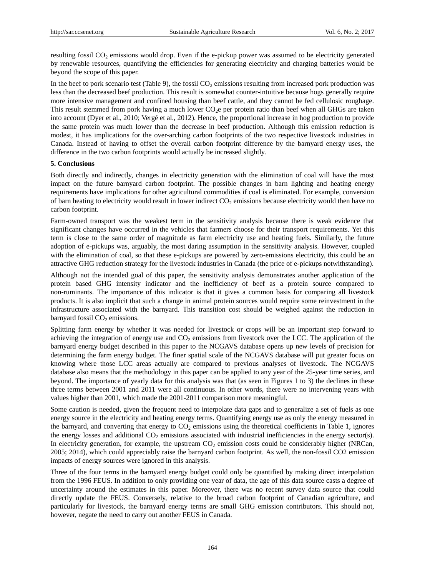resulting fossil CO<sub>2</sub> emissions would drop. Even if the e-pickup power was assumed to be electricity generated by renewable resources, quantifying the efficiencies for generating electricity and charging batteries would be beyond the scope of this paper.

In the beef to pork scenario test (Table 9), the fossil  $CO<sub>2</sub>$  emissions resulting from increased pork production was less than the decreased beef production. This result is somewhat counter-intuitive because hogs generally require more intensive management and confined housing than beef cattle, and they cannot be fed cellulosic roughage. This result stemmed from pork having a much lower  $CO<sub>2</sub>e$  per protein ratio than beef when all GHGs are taken into account (Dyer et al., 2010; Vergé et al., 2012). Hence, the proportional increase in hog production to provide the same protein was much lower than the decrease in beef production. Although this emission reduction is modest, it has implications for the over-arching carbon footprints of the two respective livestock industries in Canada. Instead of having to offset the overall carbon footprint difference by the barnyard energy uses, the difference in the two carbon footprints would actually be increased slightly.

## **5. Conclusions**

Both directly and indirectly, changes in electricity generation with the elimination of coal will have the most impact on the future barnyard carbon footprint. The possible changes in barn lighting and heating energy requirements have implications for other agricultural commodities if coal is eliminated. For example, conversion of barn heating to electricity would result in lower indirect  $CO<sub>2</sub>$  emissions because electricity would then have no carbon footprint.

Farm-owned transport was the weakest term in the sensitivity analysis because there is weak evidence that significant changes have occurred in the vehicles that farmers choose for their transport requirements. Yet this term is close to the same order of magnitude as farm electricity use and heating fuels. Similarly, the future adoption of e-pickups was, arguably, the most daring assumption in the sensitivity analysis. However, coupled with the elimination of coal, so that these e-pickups are powered by zero-emissions electricity, this could be an attractive GHG reduction strategy for the livestock industries in Canada (the price of e-pickups notwithstanding).

Although not the intended goal of this paper, the sensitivity analysis demonstrates another application of the protein based GHG intensity indicator and the inefficiency of beef as a protein source compared to non-ruminants. The importance of this indicator is that it gives a common basis for comparing all livestock products. It is also implicit that such a change in animal protein sources would require some reinvestment in the infrastructure associated with the barnyard. This transition cost should be weighed against the reduction in barnyard fossil  $CO<sub>2</sub>$  emissions.

Splitting farm energy by whether it was needed for livestock or crops will be an important step forward to achieving the integration of energy use and  $CO<sub>2</sub>$  emissions from livestock over the LCC. The application of the barnyard energy budget described in this paper to the NCGAVS database opens up new levels of precision for determining the farm energy budget. The finer spatial scale of the NCGAVS database will put greater focus on knowing where those LCC areas actually are compared to previous analyses of livestock. The NCGAVS database also means that the methodology in this paper can be applied to any year of the 25-year time series, and beyond. The importance of yearly data for this analysis was that (as seen in Figures 1 to 3) the declines in these three terms between 2001 and 2011 were all continuous. In other words, there were no intervening years with values higher than 2001, which made the 2001-2011 comparison more meaningful.

Some caution is needed, given the frequent need to interpolate data gaps and to generalize a set of fuels as one energy source in the electricity and heating energy terms. Quantifying energy use as only the energy measured in the barnyard, and converting that energy to  $CO<sub>2</sub>$  emissions using the theoretical coefficients in Table 1, ignores the energy losses and additional  $CO<sub>2</sub>$  emissions associated with industrial inefficiencies in the energy sector(s). In electricity generation, for example, the upstream  $CO<sub>2</sub>$  emission costs could be considerably higher (NRCan, 2005; 2014), which could appreciably raise the barnyard carbon footprint. As well, the non-fossil CO2 emission impacts of energy sources were ignored in this analysis.

Three of the four terms in the barnyard energy budget could only be quantified by making direct interpolation from the 1996 FEUS. In addition to only providing one year of data, the age of this data source casts a degree of uncertainty around the estimates in this paper. Moreover, there was no recent survey data source that could directly update the FEUS. Conversely, relative to the broad carbon footprint of Canadian agriculture, and particularly for livestock, the barnyard energy terms are small GHG emission contributors. This should not, however, negate the need to carry out another FEUS in Canada.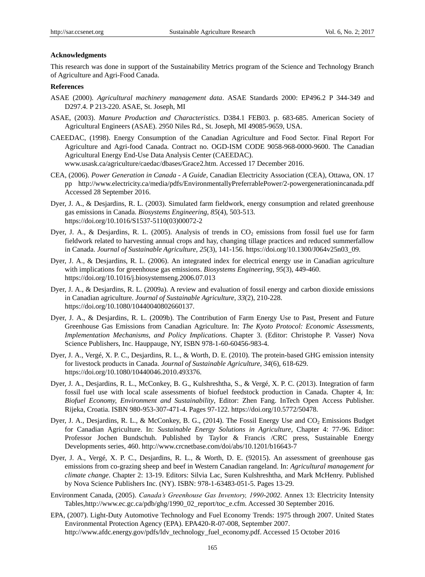### **Acknowledgments**

This research was done in support of the Sustainability Metrics program of the Science and Technology Branch of Agriculture and Agri-Food Canada.

## **References**

- ASAE (2000). *Agricultural machinery management data*. ASAE Standards 2000: EP496.2 P 344-349 and D297.4. P 213-220. ASAE, St. Joseph, MI
- ASAE, (2003). *Manure Production and Characteristics*. D384.1 FEB03. p. 683-685. American Society of Agricultural Engineers (ASAE). 2950 Niles Rd., St. Joseph, MI 49085-9659, USA.
- CAEEDAC, (1998). Energy Consumption of the Canadian Agriculture and Food Sector. Final Report For Agriculture and Agri-food Canada. Contract no. OGD-ISM CODE 9058-968-0000-9600. The Canadian Agricultural Energy End-Use Data Analysis Center (CAEEDAC). www.usask.ca/agriculture/caedac/dbases/Grace2.htm. Accessed 17 December 2016.
- CEA, (2006). *Power Generation in Canada - A Guide*, Canadian Electricity Association (CEA), Ottawa, ON. 17 pp <http://www.electricity.ca/media/pdfs/EnvironmentallyPreferrablePower/2-powergenerationincanada.pdf> Accessed 28 September 2016.
- Dyer, J. A., & Desjardins, R. L. (2003). Simulated farm fieldwork, energy consumption and related greenhouse gas emissions in Canada. *Biosystems Engineering, 85*(4), 503-513. https://doi.org/10.1016/S1537-5110(03)00072-2
- Dyer, J. A., & Desjardins, R. L. (2005). Analysis of trends in  $CO_2$  emissions from fossil fuel use for farm fieldwork related to harvesting annual crops and hay, changing tillage practices and reduced summerfallow in Canada. *Journal of Sustainable Agriculture, 25*(3), 141-156. https://doi.org/10.1300/J064v25n03\_09.
- Dyer, J. A., & Desjardins, R. L. (2006). An integrated index for electrical energy use in Canadian agriculture with implications for greenhouse gas emissions. *Biosystems Engineering, 95*(3), 449-460. https://doi.org/10.1016/j.biosystemseng.2006.07.013
- Dyer, J. A., & Desjardins, R. L. (2009a). A review and evaluation of fossil energy and carbon dioxide emissions in Canadian agriculture. *Journal of Sustainable Agriculture, 33*(2), 210-228. https://doi.org/10.1080/10440040802660137.
- Dyer, J. A., & Desjardins, R. L. (2009b). The Contribution of Farm Energy Use to Past, Present and Future Greenhouse Gas Emissions from Canadian Agriculture. In: *The Kyoto Protocol: Economic Assessments, Implementation Mechanisms, and Policy Implications*. Chapter 3. (Editor: Christophe P. Vasser) Nova Science Publishers, Inc. Hauppauge, NY, ISBN 978-1-60-60456-983-4.
- Dyer, J. A., Verg & X. P. C., Desjardins, R. L., & Worth, D. E. (2010). The protein-based GHG emission intensity for livestock products in Canada. *Journal of Sustainable Agriculture, 34*(6), 618-629. https://doi.org/10.1080/10440046.2010.493376.
- Dyer, J. A., Desjardins, R. L., McConkey, B. G., Kulshreshtha, S., & Vergé, X. P. C. (2013). Integration of farm fossil fuel use with local scale assessments of biofuel feedstock production in Canada. Chapter 4, In: *Biofuel Economy, Environment and Sustainability*, Editor: Zhen Fang. InTech Open Access Publisher. Rijeka, Croatia. ISBN 980-953-307-471-4. Pages 97-122. https://doi.org/10.5772/50478.
- Dyer, J. A., Desjardins, R. L., & McConkey, B. G., (2014). The Fossil Energy Use and  $CO<sub>2</sub>$  Emissions Budget for Canadian Agriculture. In: *Sustainable Energy Solutions in Agriculture*, Chapter 4: 77-96. Editor: Professor Jochen Bundschuh. Published by Taylor & Francis /CRC press, Sustainable Energy Developments series, 460. http://www.crcnetbase.com/doi/abs/10.1201/b16643-7
- Dyer, J. A., Vergé, X. P. C., Desjardins, R. L., & Worth, D. E. (92015). An assessment of greenhouse gas emissions from co-grazing sheep and beef in Western Canadian rangeland. In: *Agricultural management for climate change*. Chapter 2: 13-19. Editors: Silvia Lac, Suren Kulshreshtha, and Mark McHenry. Published by Nova Science Publishers Inc. (NY). ISBN: 978-1-63483-051-5. Pages 13-29.
- Environment Canada, (2005). *Canada's Greenhouse Gas Inventory, 1990-2002*. Annex 13: Electricity Intensity Tables,http://www.ec.gc.ca/pdb/ghg/1990\_02\_report/toc\_e.cfm. Accessed 30 September 2016.
- EPA, (2007). Light-Duty Automotive Technology and Fuel Economy Trends: 1975 through 2007. United States Environmental Protection Agency (EPA). EPA420-R-07-008, September 2007. http://www.afdc.energy.gov/pdfs/ldv\_technology\_fuel\_economy.pdf. Accessed 15 October 2016